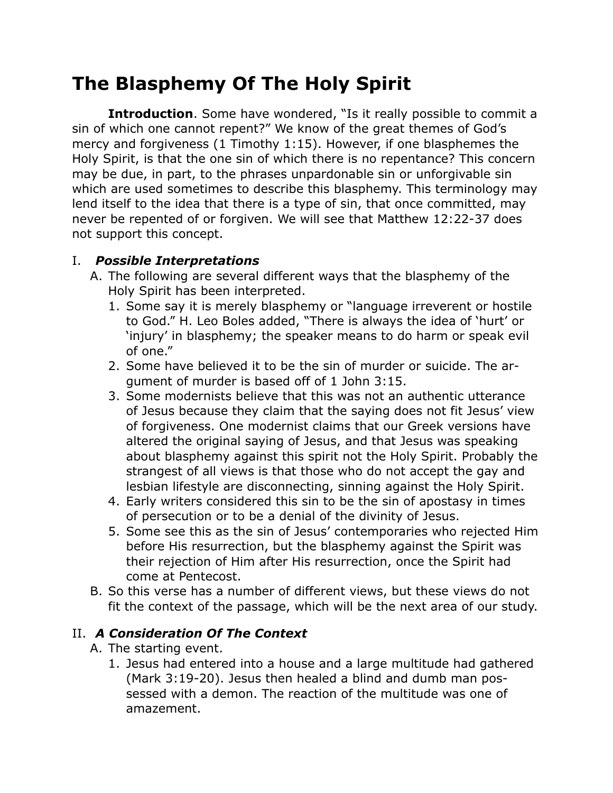## **The Blasphemy Of The Holy Spirit**

**Introduction**. Some have wondered, "Is it really possible to commit a sin of which one cannot repent?" We know of the great themes of God's mercy and forgiveness (1 Timothy 1:15). However, if one blasphemes the Holy Spirit, is that the one sin of which there is no repentance? This concern may be due, in part, to the phrases unpardonable sin or unforgivable sin which are used sometimes to describe this blasphemy. This terminology may lend itself to the idea that there is a type of sin, that once committed, may never be repented of or forgiven. We will see that Matthew 12:22-37 does not support this concept.

## I. *Possible Interpretations*

- A. The following are several different ways that the blasphemy of the Holy Spirit has been interpreted.
	- 1. Some say it is merely blasphemy or "language irreverent or hostile to God." H. Leo Boles added, "There is always the idea of 'hurt' or 'injury' in blasphemy; the speaker means to do harm or speak evil of one."
	- 2. Some have believed it to be the sin of murder or suicide. The argument of murder is based off of 1 John 3:15.
	- 3. Some modernists believe that this was not an authentic utterance of Jesus because they claim that the saying does not fit Jesus' view of forgiveness. One modernist claims that our Greek versions have altered the original saying of Jesus, and that Jesus was speaking about blasphemy against this spirit not the Holy Spirit. Probably the strangest of all views is that those who do not accept the gay and lesbian lifestyle are disconnecting, sinning against the Holy Spirit.
	- 4. Early writers considered this sin to be the sin of apostasy in times of persecution or to be a denial of the divinity of Jesus.
	- 5. Some see this as the sin of Jesus' contemporaries who rejected Him before His resurrection, but the blasphemy against the Spirit was their rejection of Him after His resurrection, once the Spirit had come at Pentecost.
- B. So this verse has a number of different views, but these views do not fit the context of the passage, which will be the next area of our study.

## II. *A Consideration Of The Context*

- A. The starting event.
	- 1. Jesus had entered into a house and a large multitude had gathered (Mark 3:19-20). Jesus then healed a blind and dumb man possessed with a demon. The reaction of the multitude was one of amazement.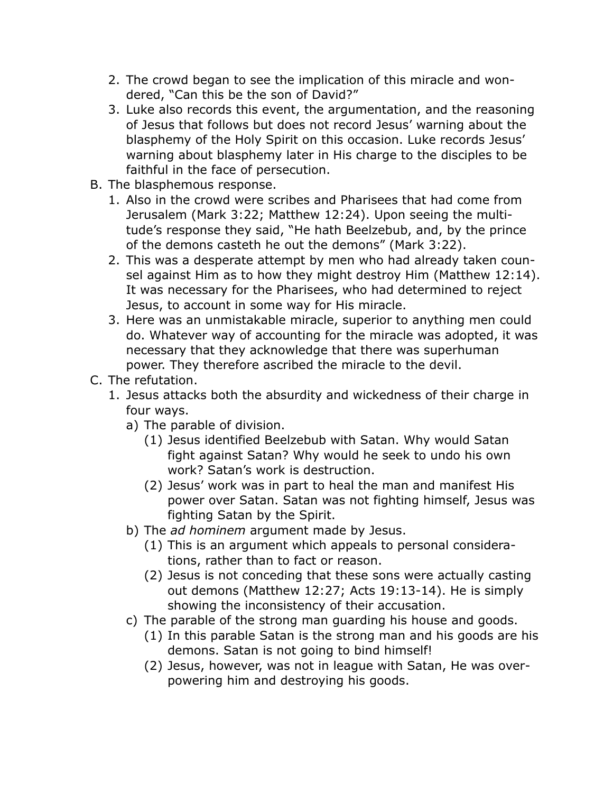- 2. The crowd began to see the implication of this miracle and wondered, "Can this be the son of David?"
- 3. Luke also records this event, the argumentation, and the reasoning of Jesus that follows but does not record Jesus' warning about the blasphemy of the Holy Spirit on this occasion. Luke records Jesus' warning about blasphemy later in His charge to the disciples to be faithful in the face of persecution.
- B. The blasphemous response.
	- 1. Also in the crowd were scribes and Pharisees that had come from Jerusalem (Mark 3:22; Matthew 12:24). Upon seeing the multitude's response they said, "He hath Beelzebub, and, by the prince of the demons casteth he out the demons" (Mark 3:22).
	- 2. This was a desperate attempt by men who had already taken counsel against Him as to how they might destroy Him (Matthew 12:14). It was necessary for the Pharisees, who had determined to reject Jesus, to account in some way for His miracle.
	- 3. Here was an unmistakable miracle, superior to anything men could do. Whatever way of accounting for the miracle was adopted, it was necessary that they acknowledge that there was superhuman power. They therefore ascribed the miracle to the devil.
- C. The refutation.
	- 1. Jesus attacks both the absurdity and wickedness of their charge in four ways.
		- a) The parable of division.
			- (1) Jesus identified Beelzebub with Satan. Why would Satan fight against Satan? Why would he seek to undo his own work? Satan's work is destruction.
			- (2) Jesus' work was in part to heal the man and manifest His power over Satan. Satan was not fighting himself, Jesus was fighting Satan by the Spirit.
		- b) The *ad hominem* argument made by Jesus.
			- (1) This is an argument which appeals to personal considerations, rather than to fact or reason.
			- (2) Jesus is not conceding that these sons were actually casting out demons (Matthew 12:27; Acts 19:13-14). He is simply showing the inconsistency of their accusation.
		- c) The parable of the strong man guarding his house and goods.
			- (1) In this parable Satan is the strong man and his goods are his demons. Satan is not going to bind himself!
			- (2) Jesus, however, was not in league with Satan, He was overpowering him and destroying his goods.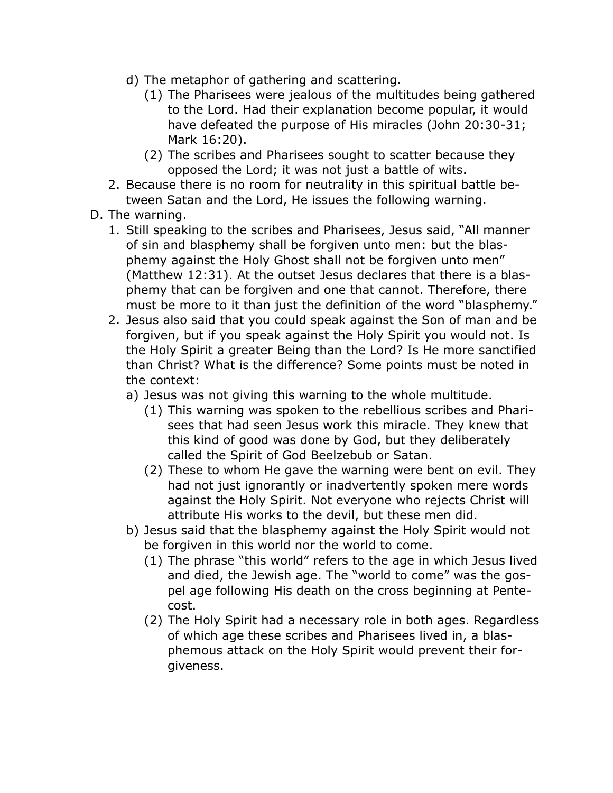- d) The metaphor of gathering and scattering.
	- (1) The Pharisees were jealous of the multitudes being gathered to the Lord. Had their explanation become popular, it would have defeated the purpose of His miracles (John 20:30-31; Mark 16:20).
	- (2) The scribes and Pharisees sought to scatter because they opposed the Lord; it was not just a battle of wits.
- 2. Because there is no room for neutrality in this spiritual battle between Satan and the Lord, He issues the following warning.
- D. The warning.
	- 1. Still speaking to the scribes and Pharisees, Jesus said, "All manner of sin and blasphemy shall be forgiven unto men: but the blasphemy against the Holy Ghost shall not be forgiven unto men" (Matthew 12:31). At the outset Jesus declares that there is a blasphemy that can be forgiven and one that cannot. Therefore, there must be more to it than just the definition of the word "blasphemy."
	- 2. Jesus also said that you could speak against the Son of man and be forgiven, but if you speak against the Holy Spirit you would not. Is the Holy Spirit a greater Being than the Lord? Is He more sanctified than Christ? What is the difference? Some points must be noted in the context:
		- a) Jesus was not giving this warning to the whole multitude.
			- (1) This warning was spoken to the rebellious scribes and Pharisees that had seen Jesus work this miracle. They knew that this kind of good was done by God, but they deliberately called the Spirit of God Beelzebub or Satan.
			- (2) These to whom He gave the warning were bent on evil. They had not just ignorantly or inadvertently spoken mere words against the Holy Spirit. Not everyone who rejects Christ will attribute His works to the devil, but these men did.
		- b) Jesus said that the blasphemy against the Holy Spirit would not be forgiven in this world nor the world to come.
			- (1) The phrase "this world" refers to the age in which Jesus lived and died, the Jewish age. The "world to come" was the gospel age following His death on the cross beginning at Pentecost.
			- (2) The Holy Spirit had a necessary role in both ages. Regardless of which age these scribes and Pharisees lived in, a blasphemous attack on the Holy Spirit would prevent their forgiveness.